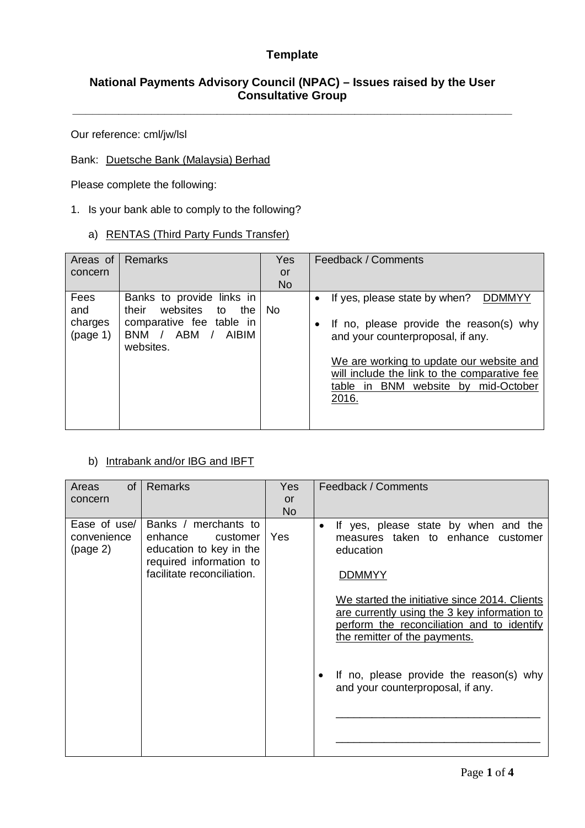## **National Payments Advisory Council (NPAC) – Issues raised by the User Consultative Group**

**\_\_\_\_\_\_\_\_\_\_\_\_\_\_\_\_\_\_\_\_\_\_\_\_\_\_\_\_\_\_\_\_\_\_\_\_\_\_\_\_\_\_\_\_\_\_\_\_\_\_\_\_\_\_\_\_\_\_\_\_\_\_\_\_\_\_\_** 

Our reference: cml/jw/lsl

#### Bank: Duetsche Bank (Malaysia) Berhad

Please complete the following:

#### 1. Is your bank able to comply to the following?

## a) RENTAS (Third Party Funds Transfer)

| Remarks                                                             | Yes       | Feedback / Comments                                                               |
|---------------------------------------------------------------------|-----------|-----------------------------------------------------------------------------------|
|                                                                     | or        |                                                                                   |
|                                                                     | <b>No</b> |                                                                                   |
| Banks to provide links in                                           |           | If yes, please state by when?<br><b>DDMMYY</b><br>$\bullet$                       |
| their<br>to<br>the                                                  | No.       |                                                                                   |
| comparative fee table in<br><b>ABM</b><br>AIBIM<br>BNM<br>websites. |           | If no, please provide the reason(s) why<br>٠<br>and your counterproposal, if any. |
|                                                                     |           | We are working to update our website and                                          |
|                                                                     |           | will include the link to the comparative fee                                      |
|                                                                     |           | table in BNM website by mid-October                                               |
|                                                                     |           | 2016.                                                                             |
|                                                                     |           |                                                                                   |
|                                                                     | websites  |                                                                                   |

#### b) Intrabank and/or IBG and IBFT

| <b>of</b><br>Areas                      | <b>Remarks</b>                                                                                                                  | Yes       | Feedback / Comments                                                                                                                                                          |
|-----------------------------------------|---------------------------------------------------------------------------------------------------------------------------------|-----------|------------------------------------------------------------------------------------------------------------------------------------------------------------------------------|
| concern                                 |                                                                                                                                 | <b>or</b> |                                                                                                                                                                              |
|                                         |                                                                                                                                 | <b>No</b> |                                                                                                                                                                              |
| Ease of use/<br>convenience<br>(page 2) | Banks / merchants to<br>enhance<br>customer<br>education to key in the<br>required information to<br>facilitate reconciliation. | Yes       | If yes, please state by when and the<br>$\bullet$<br>measures taken to enhance customer<br>education<br><b>DDMMYY</b>                                                        |
|                                         |                                                                                                                                 |           | We started the initiative since 2014. Clients<br>are currently using the 3 key information to<br>perform the reconciliation and to identify<br>the remitter of the payments. |
|                                         |                                                                                                                                 |           | If no, please provide the reason(s) why<br>$\bullet$<br>and your counterproposal, if any.                                                                                    |
|                                         |                                                                                                                                 |           |                                                                                                                                                                              |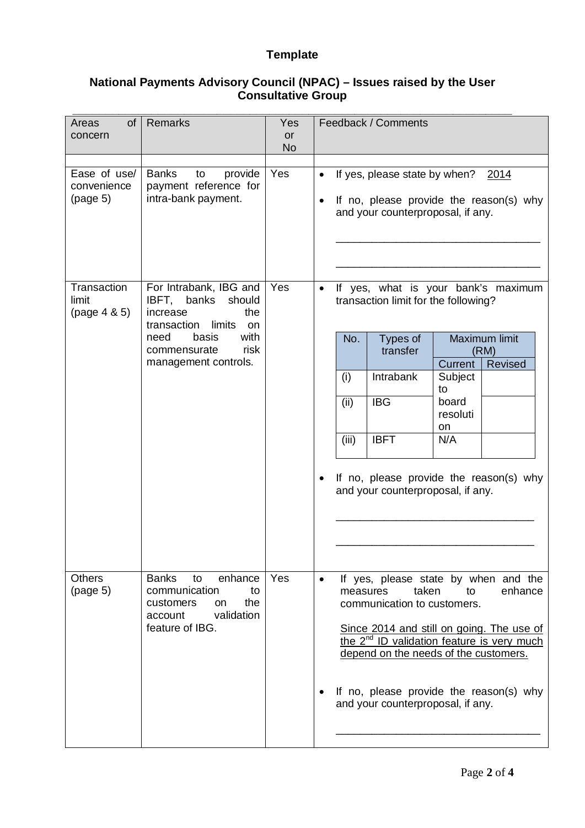### **National Payments Advisory Council (NPAC) – Issues raised by the User Consultative Group**

| Areas<br>of<br>concern                  | <b>Remarks</b>                                                                                                                                                             | <b>Yes</b><br><b>or</b><br><b>No</b> | Feedback / Comments                                                                                                                                                                                                                                                                                                                                                              |
|-----------------------------------------|----------------------------------------------------------------------------------------------------------------------------------------------------------------------------|--------------------------------------|----------------------------------------------------------------------------------------------------------------------------------------------------------------------------------------------------------------------------------------------------------------------------------------------------------------------------------------------------------------------------------|
| Ease of use/<br>convenience<br>(page 5) | <b>Banks</b><br>provide<br>to<br>payment reference for<br>intra-bank payment.                                                                                              | Yes                                  | If yes, please state by when?<br>2014<br>$\bullet$<br>If no, please provide the reason(s) why<br>٠<br>and your counterproposal, if any.                                                                                                                                                                                                                                          |
| Transaction<br>limit<br>(page 4 & 5)    | For Intrabank, IBG and<br>IBFT, banks<br>should<br>increase<br>the<br>limits<br>transaction<br>on<br>with<br>need<br>basis<br>risk<br>commensurate<br>management controls. | Yes                                  | If yes, what is your bank's maximum<br>$\bullet$<br>transaction limit for the following?<br>Maximum limit<br>Types of<br>No.<br>transfer<br>(RM)<br>Current<br>Revised<br>Intrabank<br>(i)<br>Subject<br>to<br><b>IBG</b><br>(ii)<br>board<br>resoluti<br>on<br>(iii)<br><b>IBFT</b><br>N/A<br>If no, please provide the reason(s) why<br>٠<br>and your counterproposal, if any. |
| <b>Others</b><br>(page 5)               | <b>Banks</b><br>enhance<br>to<br>communication<br>to<br>customers<br>the<br>on<br>validation<br>account<br>feature of IBG.                                                 | Yes                                  | If yes, please state by when and the<br>$\bullet$<br>enhance<br>taken<br>to<br>measures<br>communication to customers.<br>Since 2014 and still on going. The use of<br>the $2^{nd}$ ID validation feature is very much<br>depend on the needs of the customers.<br>If no, please provide the reason(s) why<br>and your counterproposal, if any.                                  |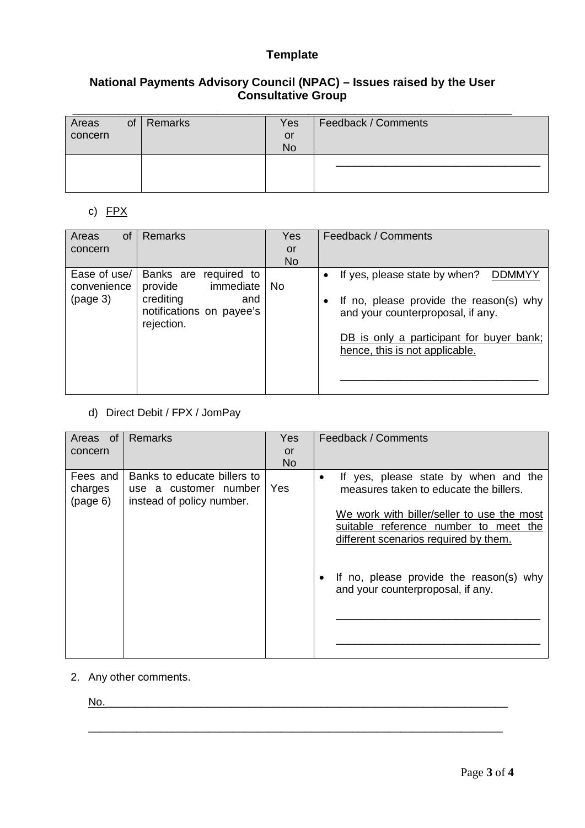## **National Payments Advisory Council (NPAC) – Issues raised by the User Consultative Group**

| Areas   | <sub>of</sub> | Remarks | Yes       | Feedback / Comments |
|---------|---------------|---------|-----------|---------------------|
| concern |               |         | or        |                     |
|         |               |         | <b>No</b> |                     |
|         |               |         |           |                     |
|         |               |         |           |                     |
|         |               |         |           |                     |

### c) FPX

| Areas<br><b>of</b><br>concern           | Remarks                                                                                                        | <b>Yes</b><br>or<br><b>No</b> | Feedback / Comments                                                                                                                                                                                                |
|-----------------------------------------|----------------------------------------------------------------------------------------------------------------|-------------------------------|--------------------------------------------------------------------------------------------------------------------------------------------------------------------------------------------------------------------|
| Ease of use/<br>convenience<br>(page 3) | Banks are<br>required to<br>immediate<br>provide<br>crediting<br>and<br>notifications on payee's<br>rejection. | <b>No</b>                     | If yes, please state by when?<br>DDMMYY<br>$\bullet$<br>If no, please provide the reason(s) why<br>and your counterproposal, if any.<br>DB is only a participant for buyer bank;<br>hence, this is not applicable. |

d) Direct Debit / FPX / JomPay

| Areas of            | <b>Remarks</b>                                     | <b>Yes</b> | Feedback / Comments                                                               |
|---------------------|----------------------------------------------------|------------|-----------------------------------------------------------------------------------|
| concern             |                                                    | or         |                                                                                   |
|                     |                                                    | <b>No</b>  |                                                                                   |
| Fees and            | Banks to educate billers to                        |            | If yes, please state by when and the<br>٠                                         |
| charges<br>(page 6) | use a customer number<br>instead of policy number. | Yes        | measures taken to educate the billers.                                            |
|                     |                                                    |            | We work with biller/seller to use the most                                        |
|                     |                                                    |            | suitable reference number to meet the                                             |
|                     |                                                    |            | different scenarios required by them.                                             |
|                     |                                                    |            |                                                                                   |
|                     |                                                    |            | If no, please provide the reason(s) why<br>٠<br>and your counterproposal, if any. |
|                     |                                                    |            |                                                                                   |
|                     |                                                    |            |                                                                                   |
|                     |                                                    |            |                                                                                   |
|                     |                                                    |            |                                                                                   |

 $\frac{1}{\sqrt{2}}$  ,  $\frac{1}{\sqrt{2}}$  ,  $\frac{1}{\sqrt{2}}$  ,  $\frac{1}{\sqrt{2}}$  ,  $\frac{1}{\sqrt{2}}$  ,  $\frac{1}{\sqrt{2}}$  ,  $\frac{1}{\sqrt{2}}$  ,  $\frac{1}{\sqrt{2}}$  ,  $\frac{1}{\sqrt{2}}$  ,  $\frac{1}{\sqrt{2}}$  ,  $\frac{1}{\sqrt{2}}$  ,  $\frac{1}{\sqrt{2}}$  ,  $\frac{1}{\sqrt{2}}$  ,  $\frac{1}{\sqrt{2}}$  ,  $\frac{1}{\sqrt{2}}$ 

2. Any other comments.

No.\_\_\_\_\_\_\_\_\_\_\_\_\_\_\_\_\_\_\_\_\_\_\_\_\_\_\_\_\_\_\_\_\_\_\_\_\_\_\_\_\_\_\_\_\_\_\_\_\_\_\_\_\_\_\_\_\_\_\_\_\_\_\_\_\_\_\_